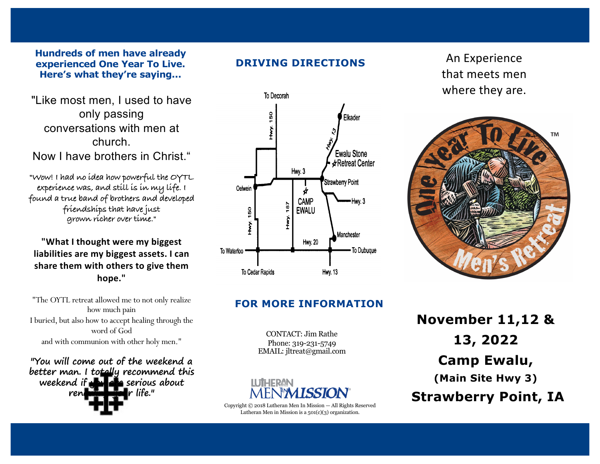#### **Hundreds of men have already experienced One Year To Live. Here's what they're saying...**

"Like most men, I used to have only passing conversations with men at church. Now I have brothers in Christ."

**"Wow! I had no idea how powerful the OYTL experience was, and still is in my life. I found a true band of brothers and developed friendships that have just grown richer over time."**

**"What I thought were my biggest liabilities are my biggest assets. I can share them with others to give them hope."**

"The OYTL retreat allowed me to not only realize how much pain I buried, but also how to accept healing through the word of God and with communion with other holy men."

**"You will come out of the weekend a better man. I totally recommend this weekend if you also serious about renewing your life."**





### **FOR MORE INFORMATION**

CONTACT: Jim Rathe Phone: 319-231-5749 EMAIL: jltreat@gmail.com



Copyright © 2018 Lutheran Men In Mission — All Rights Reserved Lutheran Men in Mission is a  $501(c)(3)$  organization.

that meets men where they are.



**November 11,12 & 13, 2022 Camp Ewalu, (Main Site Hwy 3) Strawberry Point, IA**